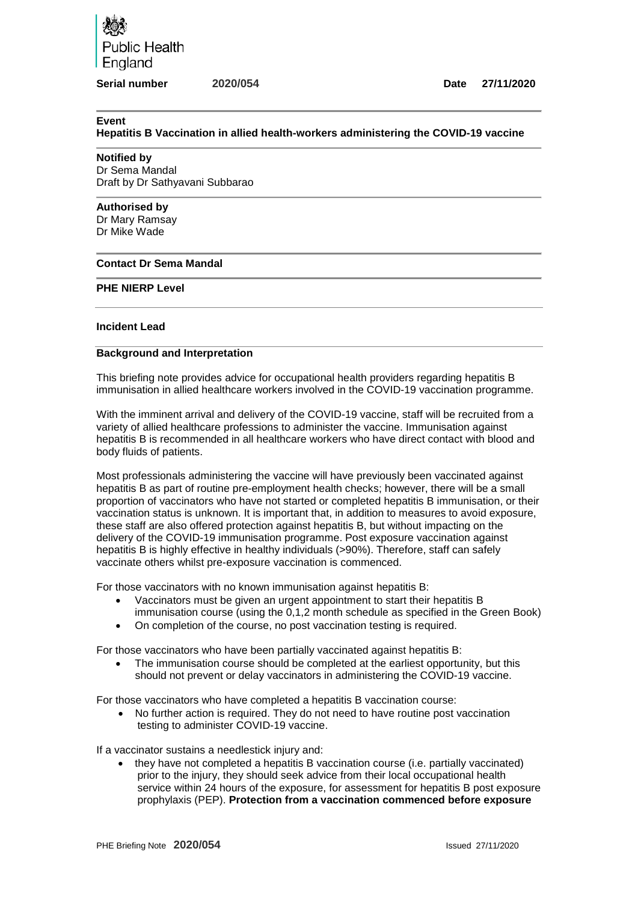Public Health England

#### **Serial number 2020/054 Date 27/11/2020**

#### **Event**

**Hepatitis B Vaccination in allied health-workers administering the COVID-19 vaccine** 

## **Notified by**

Dr Sema Mandal Draft by Dr Sathyavani Subbarao

### **Authorised by**

Dr Mary Ramsay Dr Mike Wade

## **Contact Dr Sema Mandal**

# **PHE NIERP Level**

## **Incident Lead**

### **Background and Interpretation**

This briefing note provides advice for occupational health providers regarding hepatitis B immunisation in allied healthcare workers involved in the COVID-19 vaccination programme.

With the imminent arrival and delivery of the COVID-19 vaccine, staff will be recruited from a variety of allied healthcare professions to administer the vaccine. Immunisation against hepatitis B is recommended in all healthcare workers who have direct contact with blood and body fluids of patients.

Most professionals administering the vaccine will have previously been vaccinated against hepatitis B as part of routine pre-employment health checks; however, there will be a small proportion of vaccinators who have not started or completed hepatitis B immunisation, or their vaccination status is unknown. It is important that, in addition to measures to avoid exposure, these staff are also offered protection against hepatitis B, but without impacting on the delivery of the COVID-19 immunisation programme. Post exposure vaccination against hepatitis B is highly effective in healthy individuals (>90%). Therefore, staff can safely vaccinate others whilst pre-exposure vaccination is commenced.

For those vaccinators with no known immunisation against hepatitis B:

- Vaccinators must be given an urgent appointment to start their hepatitis B immunisation course (using the 0,1,2 month schedule as specified in the Green Book)
- On completion of the course, no post vaccination testing is required.

For those vaccinators who have been partially vaccinated against hepatitis B:

• The immunisation course should be completed at the earliest opportunity, but this should not prevent or delay vaccinators in administering the COVID-19 vaccine.

For those vaccinators who have completed a hepatitis B vaccination course:

• No further action is required. They do not need to have routine post vaccination testing to administer COVID-19 vaccine.

If a vaccinator sustains a needlestick injury and:

• they have not completed a hepatitis B vaccination course (i.e. partially vaccinated) prior to the injury, they should seek advice from their local occupational health service within 24 hours of the exposure, for assessment for hepatitis B post exposure prophylaxis (PEP). **Protection from a vaccination commenced before exposure**